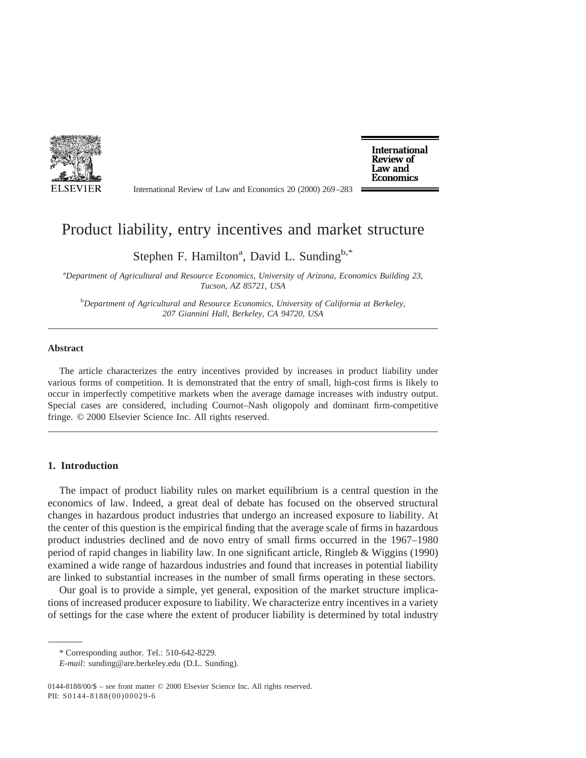

International Review of Law and Economics 20 (2000) 269–283



## Product liability, entry incentives and market structure

Stephen F. Hamilton<sup>a</sup>, David L. Sunding<sup>b,\*</sup>

a *Department of Agricultural and Resource Economics, University of Arizona, Economics Building 23, Tucson, AZ 85721, USA*

b *Department of Agricultural and Resource Economics, University of California at Berkeley, 207 Giannini Hall, Berkeley, CA 94720, USA*

## **Abstract**

The article characterizes the entry incentives provided by increases in product liability under various forms of competition. It is demonstrated that the entry of small, high-cost firms is likely to occur in imperfectly competitive markets when the average damage increases with industry output. Special cases are considered, including Cournot–Nash oligopoly and dominant firm-competitive fringe. © 2000 Elsevier Science Inc. All rights reserved.

## **1. Introduction**

The impact of product liability rules on market equilibrium is a central question in the economics of law. Indeed, a great deal of debate has focused on the observed structural changes in hazardous product industries that undergo an increased exposure to liability. At the center of this question is the empirical finding that the average scale of firms in hazardous product industries declined and de novo entry of small firms occurred in the 1967–1980 period of rapid changes in liability law. In one significant article, Ringleb & Wiggins (1990) examined a wide range of hazardous industries and found that increases in potential liability are linked to substantial increases in the number of small firms operating in these sectors.

Our goal is to provide a simple, yet general, exposition of the market structure implications of increased producer exposure to liability. We characterize entry incentives in a variety of settings for the case where the extent of producer liability is determined by total industry

<sup>\*</sup> Corresponding author. Tel.: 510-642-8229.

*E-mail:* sunding@are.berkeley.edu (D.L. Sunding).

<sup>0144-8188/00/\$ –</sup> see front matter © 2000 Elsevier Science Inc. All rights reserved. PII: S0144-8188(00)00029-6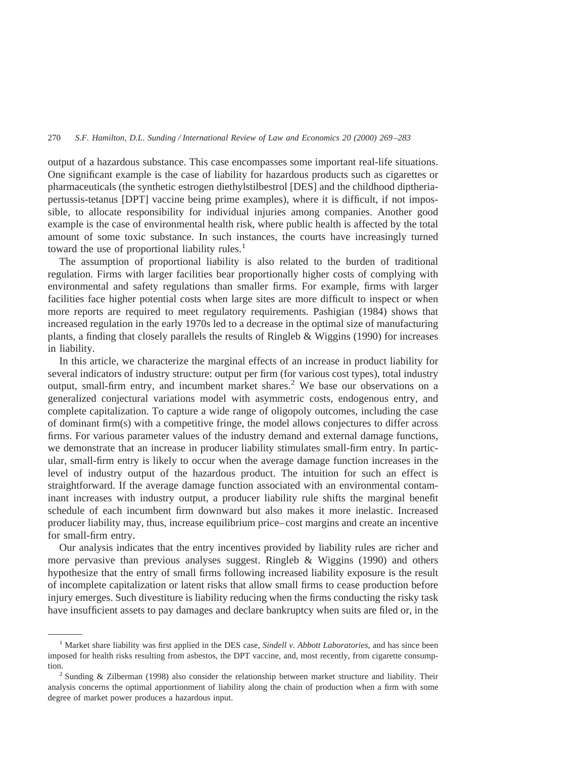output of a hazardous substance. This case encompasses some important real-life situations. One significant example is the case of liability for hazardous products such as cigarettes or pharmaceuticals (the synthetic estrogen diethylstilbestrol [DES] and the childhood diptheriapertussis-tetanus [DPT] vaccine being prime examples), where it is difficult, if not impossible, to allocate responsibility for individual injuries among companies. Another good example is the case of environmental health risk, where public health is affected by the total amount of some toxic substance. In such instances, the courts have increasingly turned toward the use of proportional liability rules. $<sup>1</sup>$ </sup>

The assumption of proportional liability is also related to the burden of traditional regulation. Firms with larger facilities bear proportionally higher costs of complying with environmental and safety regulations than smaller firms. For example, firms with larger facilities face higher potential costs when large sites are more difficult to inspect or when more reports are required to meet regulatory requirements. Pashigian (1984) shows that increased regulation in the early 1970s led to a decrease in the optimal size of manufacturing plants, a finding that closely parallels the results of Ringleb  $\&$  Wiggins (1990) for increases in liability.

In this article, we characterize the marginal effects of an increase in product liability for several indicators of industry structure: output per firm (for various cost types), total industry output, small-firm entry, and incumbent market shares.<sup>2</sup> We base our observations on a generalized conjectural variations model with asymmetric costs, endogenous entry, and complete capitalization. To capture a wide range of oligopoly outcomes, including the case of dominant firm(s) with a competitive fringe, the model allows conjectures to differ across firms. For various parameter values of the industry demand and external damage functions, we demonstrate that an increase in producer liability stimulates small-firm entry. In particular, small-firm entry is likely to occur when the average damage function increases in the level of industry output of the hazardous product. The intuition for such an effect is straightforward. If the average damage function associated with an environmental contaminant increases with industry output, a producer liability rule shifts the marginal benefit schedule of each incumbent firm downward but also makes it more inelastic. Increased producer liability may, thus, increase equilibrium price–cost margins and create an incentive for small-firm entry.

Our analysis indicates that the entry incentives provided by liability rules are richer and more pervasive than previous analyses suggest. Ringleb & Wiggins (1990) and others hypothesize that the entry of small firms following increased liability exposure is the result of incomplete capitalization or latent risks that allow small firms to cease production before injury emerges. Such divestiture is liability reducing when the firms conducting the risky task have insufficient assets to pay damages and declare bankruptcy when suits are filed or, in the

<sup>1</sup> Market share liability was first applied in the DES case, *Sindell v. Abbott Laboratories*, and has since been imposed for health risks resulting from asbestos, the DPT vaccine, and, most recently, from cigarette consumption.<br><sup>2</sup> Sunding & Zilberman (1998) also consider the relationship between market structure and liability. Their

analysis concerns the optimal apportionment of liability along the chain of production when a firm with some degree of market power produces a hazardous input.